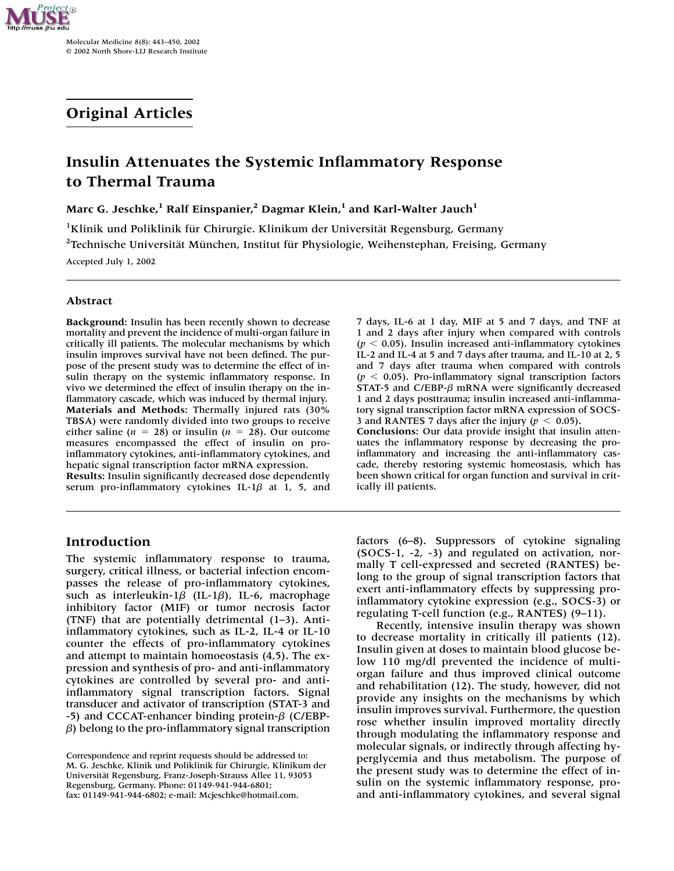

Molecular Medicine 8(8): 443–450, 2002 © 2002 North Shore-LIJ Research Institute

# **Original Articles**

# **Insulin Attenuates the Systemic Inflammatory Response to Thermal Trauma**

**Marc G. Jeschke,**<sup>1</sup> Ralf Einspanier,<sup>2</sup> Dagmar Klein,<sup>1</sup> and Karl-Walter Jauch<sup>1</sup>

<sup>1</sup>Klinik und Poliklinik für Chirurgie. Klinikum der Universität Regensburg, Germany <sup>2</sup>Technische Universität München, Institut für Physiologie, Weihenstephan, Freising, Germany

Accepted July 1, 2002

## **Abstract**

**Background:** Insulin has been recently shown to decrease mortality and prevent the incidence of multi-organ failure in critically ill patients. The molecular mechanisms by which insulin improves survival have not been defined. The purpose of the present study was to determine the effect of insulin therapy on the systemic inflammatory response. In vivo we determined the effect of insulin therapy on the inflammatory cascade, which was induced by thermal injury. **Materials and Methods:** Thermally injured rats (30% TBSA) were randomly divided into two groups to receive either saline ( $n = 28$ ) or insulin ( $n = 28$ ). Our outcome measures encompassed the effect of insulin on proinflammatory cytokines, anti-inflammatory cytokines, and hepatic signal transcription factor mRNA expression.

**Results:** Insulin significantly decreased dose dependently serum pro-inflammatory cytokines IL-1 $\beta$  at 1, 5, and

# **Introduction**

The systemic inflammatory response to trauma, surgery, critical illness, or bacterial infection encompasses the release of pro-inflammatory cytokines, such as interleukin-1 $\beta$  (IL-1 $\beta$ ), IL-6, macrophage inhibitory factor (MIF) or tumor necrosis factor (TNF) that are potentially detrimental (1–3). Antiinflammatory cytokines, such as IL-2, IL-4 or IL-10 counter the effects of pro-inflammatory cytokines and attempt to maintain homoeostasis (4,5). The expression and synthesis of pro- and anti-inflammatory cytokines are controlled by several pro- and antiinflammatory signal transcription factors. Signal transducer and activator of transcription (STAT-3 and -5) and CCCAT-enhancer binding protein- $\beta$  (C/EBP- $\beta$ ) belong to the pro-inflammatory signal transcription 7 days, IL-6 at 1 day, MIF at 5 and 7 days, and TNF at 1 and 2 days after injury when compared with controls  $(p < 0.05)$ . Insulin increased anti-inflammatory cytokines IL-2 and IL-4 at 5 and 7 days after trauma, and IL-10 at 2, 5 and 7 days after trauma when compared with controls  $(p < 0.05)$ . Pro-inflammatory signal transcription factors STAT-5 and C/EBP- $\beta$  mRNA were significantly decreased 1 and 2 days posttrauma; insulin increased anti-inflammatory signal transcription factor mRNA expression of SOCS-3 and RANTES 7 days after the injury ( $p < 0.05$ ).

**Conclusions:** Our data provide insight that insulin attenuates the inflammatory response by decreasing the proinflammatory and increasing the anti-inflammatory cascade, thereby restoring systemic homeostasis, which has been shown critical for organ function and survival in critically ill patients.

factors (6–8). Suppressors of cytokine signaling (SOCS-1, -2, -3) and regulated on activation, normally T cell-expressed and secreted (RANTES) belong to the group of signal transcription factors that exert anti-inflammatory effects by suppressing proinflammatory cytokine expression (e.g., SOCS-3) or regulating T-cell function (e.g., RANTES) (9–11).

Recently, intensive insulin therapy was shown to decrease mortality in critically ill patients (12). Insulin given at doses to maintain blood glucose below 110 mg/dl prevented the incidence of multiorgan failure and thus improved clinical outcome and rehabilitation (12). The study, however, did not provide any insights on the mechanisms by which insulin improves survival. Furthermore, the question rose whether insulin improved mortality directly through modulating the inflammatory response and molecular signals, or indirectly through affecting hyperglycemia and thus metabolism. The purpose of the present study was to determine the effect of insulin on the systemic inflammatory response, proand anti-inflammatory cytokines, and several signal

Correspondence and reprint requests should be addressed to: M. G. Jeschke, Klinik und Poliklinik für Chirurgie, Klinikum der Universität Regensburg, Franz-Joseph-Strauss Allee 11, 93053 Regensburg, Germany. Phone: 01149-941-944-6801; fax: 01149-941-944-6802; e-mail: Mcjeschke@hotmail.com.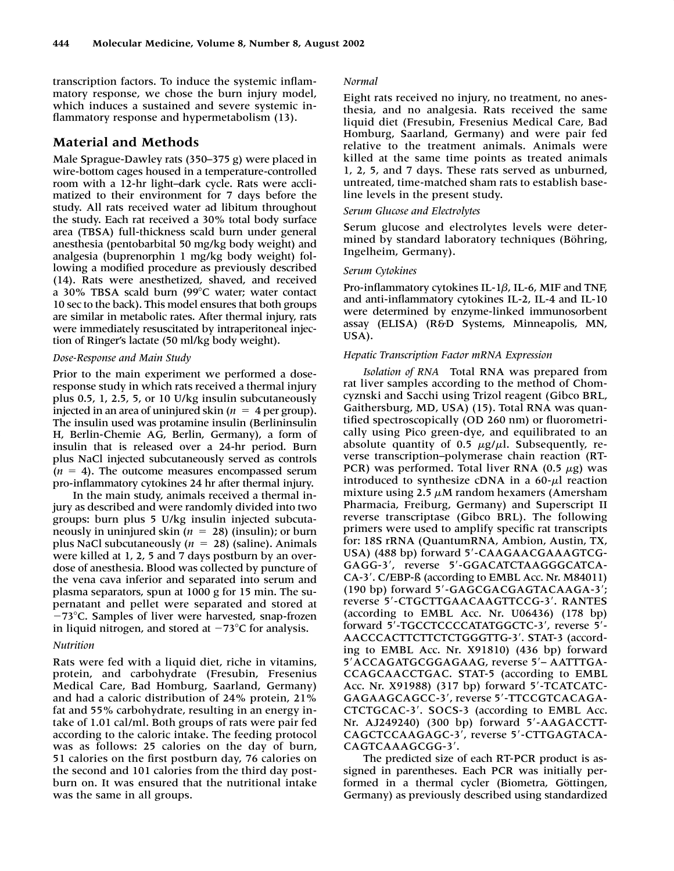transcription factors. To induce the systemic inflammatory response, we chose the burn injury model, which induces a sustained and severe systemic inflammatory response and hypermetabolism (13).

# **Material and Methods**

Male Sprague-Dawley rats (350–375 g) were placed in wire-bottom cages housed in a temperature-controlled room with a 12-hr light–dark cycle. Rats were acclimatized to their environment for 7 days before the study. All rats received water ad libitum throughout the study. Each rat received a 30% total body surface area (TBSA) full-thickness scald burn under general anesthesia (pentobarbital 50 mg/kg body weight) and analgesia (buprenorphin 1 mg/kg body weight) following a modified procedure as previously described (14). Rats were anesthetized, shaved, and received a 30% TBSA scald burn (99C water; water contact 10 sec to the back). This model ensures that both groups are similar in metabolic rates. After thermal injury, rats were immediately resuscitated by intraperitoneal injection of Ringer's lactate (50 ml/kg body weight).

## *Dose-Response and Main Study*

Prior to the main experiment we performed a doseresponse study in which rats received a thermal injury plus 0.5, 1, 2.5, 5, or 10 U/kg insulin subcutaneously injected in an area of uninjured skin ( $n = 4$  per group). The insulin used was protamine insulin (Berlininsulin H, Berlin-Chemie AG, Berlin, Germany), a form of insulin that is released over a 24-hr period. Burn plus NaCl injected subcutaneously served as controls  $(n = 4)$ . The outcome measures encompassed serum pro-inflammatory cytokines 24 hr after thermal injury.

In the main study, animals received a thermal injury as described and were randomly divided into two groups: burn plus 5 U/kg insulin injected subcutaneously in uninjured skin ( $n = 28$ ) (insulin); or burn plus NaCl subcutaneously  $(n = 28)$  (saline). Animals were killed at 1, 2, 5 and 7 days postburn by an overdose of anesthesia. Blood was collected by puncture of the vena cava inferior and separated into serum and plasma separators, spun at 1000 g for 15 min. The supernatant and pellet were separated and stored at -73°C. Samples of liver were harvested, snap-frozen in liquid nitrogen, and stored at  $-73^{\circ}$ C for analysis.

## *Nutrition*

Rats were fed with a liquid diet, riche in vitamins, protein, and carbohydrate (Fresubin, Fresenius Medical Care, Bad Homburg, Saarland, Germany) and had a caloric distribution of 24% protein, 21% fat and 55% carbohydrate, resulting in an energy intake of 1.01 cal/ml. Both groups of rats were pair fed according to the caloric intake. The feeding protocol was as follows: 25 calories on the day of burn, 51 calories on the first postburn day, 76 calories on the second and 101 calories from the third day postburn on. It was ensured that the nutritional intake was the same in all groups.

### *Normal*

Eight rats received no injury, no treatment, no anesthesia, and no analgesia. Rats received the same liquid diet (Fresubin, Fresenius Medical Care, Bad Homburg, Saarland, Germany) and were pair fed relative to the treatment animals. Animals were killed at the same time points as treated animals 1, 2, 5, and 7 days. These rats served as unburned, untreated, time-matched sham rats to establish baseline levels in the present study.

## *Serum Glucose and Electrolytes*

Serum glucose and electrolytes levels were determined by standard laboratory techniques (Böhring, Ingelheim, Germany).

## *Serum Cytokines*

Pro-inflammatory cytokines IL-1 $\beta$ , IL-6, MIF and TNF, and anti-inflammatory cytokines IL-2, IL-4 and IL-10 were determined by enzyme-linked immunosorbent assay (ELISA) (R&D Systems, Minneapolis, MN, USA).

## *Hepatic Transcription Factor mRNA Expression*

*Isolation of RNA* Total RNA was prepared from rat liver samples according to the method of Chomcyznski and Sacchi using Trizol reagent (Gibco BRL, Gaithersburg, MD, USA) (15). Total RNA was quantified spectroscopically (OD 260 nm) or fluorometrically using Pico green-dye, and equilibrated to an absolute quantity of  $0.5 \mu g/\mu l$ . Subsequently, reverse transcription–polymerase chain reaction (RT-PCR) was performed. Total liver RNA (0.5  $\mu$ g) was introduced to synthesize cDNA in a 60- $\mu$ l reaction mixture using 2.5  $\mu$ M random hexamers (Amersham Pharmacia, Freiburg, Germany) and Superscript II reverse transcriptase (Gibco BRL). The following primers were used to amplify specific rat transcripts for: 18S rRNA (QuantumRNA, Ambion, Austin, TX, USA) (488 bp) forward 5'-CAAGAACGAAAGTCG-GAGG-3', reverse 5'-GGACATCTAAGGGCATCA-CA-3. C/EBP-ß (according to EMBL Acc. Nr. M84011) (190 bp) forward 5'-GAGCGACGAGTACAAGA-3'; reverse 5'-CTGCTTGAACAAGTTCCG-3'. RANTES (according to EMBL Acc. Nr. U06436) (178 bp) forward 5'-TGCCTCCCCATATGGCTC-3', reverse 5'-AACCCACTTCTTCTCTGGGTTG-3'. STAT-3 (according to EMBL Acc. Nr. X91810) (436 bp) forward 5' ACCAGATGCGGAGAAG, reverse 5' - AATTTGA-CCAGCAACCTGAC. STAT-5 (according to EMBL Acc. Nr. X91988) (317 bp) forward 5'-TCATCATC-GAGAAGCAGCC-3', reverse 5'-TTCCGTCACAGA-CTCTGCAC-3. SOCS-3 (according to EMBL Acc. Nr. AJ249240) (300 bp) forward 5-AAGACCTT-CAGCTCCAAGAGC-3', reverse 5'-CTTGAGTACA-CAGTCAAAGCGG-3.

The predicted size of each RT-PCR product is assigned in parentheses. Each PCR was initially performed in a thermal cycler (Biometra, Göttingen, Germany) as previously described using standardized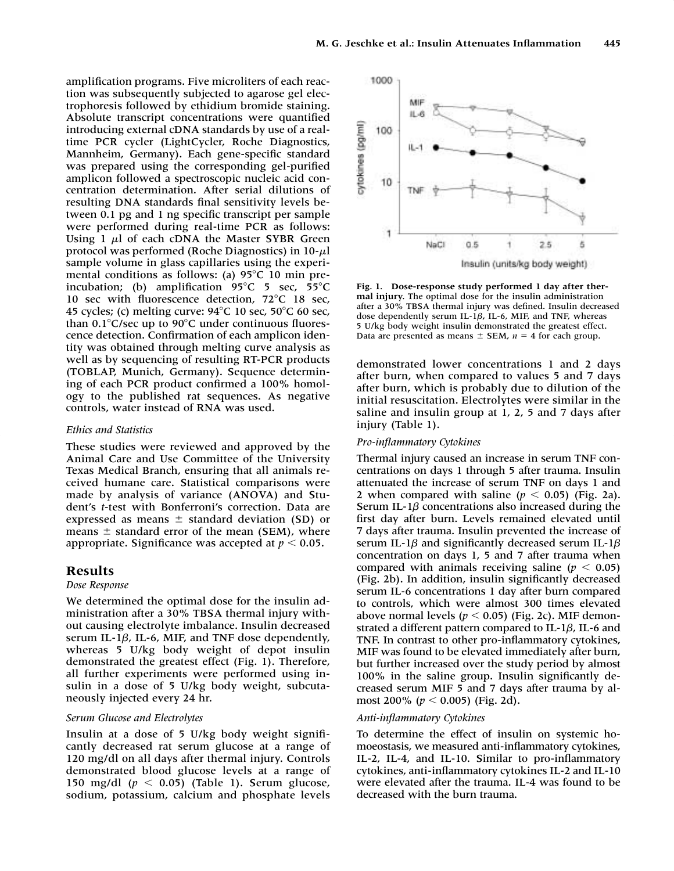amplification programs. Five microliters of each reaction was subsequently subjected to agarose gel electrophoresis followed by ethidium bromide staining. Absolute transcript concentrations were quantified introducing external cDNA standards by use of a realtime PCR cycler (LightCycler, Roche Diagnostics, Mannheim, Germany). Each gene-specific standard was prepared using the corresponding gel-purified amplicon followed a spectroscopic nucleic acid concentration determination. After serial dilutions of resulting DNA standards final sensitivity levels between 0.1 pg and 1 ng specific transcript per sample were performed during real-time PCR as follows: Using  $1 \mu l$  of each cDNA the Master SYBR Green protocol was performed (Roche Diagnostics) in 10-*-*l sample volume in glass capillaries using the experimental conditions as follows: (a)  $95^{\circ}$ C 10 min preincubation; (b) amplification  $95^{\circ}$ C 5 sec,  $55^{\circ}$ C 10 sec with fluorescence detection,  $72^{\circ}$ C 18 sec, 45 cycles; (c) melting curve:  $94^{\circ}$ C 10 sec,  $50^{\circ}$ C 60 sec, than  $0.1^{\circ}$ C/sec up to 90 $^{\circ}$ C under continuous fluorescence detection. Confirmation of each amplicon identity was obtained through melting curve analysis as well as by sequencing of resulting RT-PCR products (TOBLAP, Munich, Germany). Sequence determining of each PCR product confirmed a 100% homology to the published rat sequences. As negative controls, water instead of RNA was used.

#### *Ethics and Statistics*

These studies were reviewed and approved by the Animal Care and Use Committee of the University Texas Medical Branch, ensuring that all animals received humane care. Statistical comparisons were made by analysis of variance (ANOVA) and Student's *t*-test with Bonferroni's correction. Data are expressed as means  $\pm$  standard deviation (SD) or means  $\pm$  standard error of the mean (SEM), where appropriate. Significance was accepted at  $p < 0.05$ .

#### **Results**

#### *Dose Response*

We determined the optimal dose for the insulin administration after a 30% TBSA thermal injury without causing electrolyte imbalance. Insulin decreased serum IL-1 $\beta$ , IL-6, MIF, and TNF dose dependently, whereas 5 U/kg body weight of depot insulin demonstrated the greatest effect (Fig. 1). Therefore, all further experiments were performed using insulin in a dose of 5 U/kg body weight, subcutaneously injected every 24 hr.

## *Serum Glucose and Electrolytes*

Insulin at a dose of 5 U/kg body weight significantly decreased rat serum glucose at a range of 120 mg/dl on all days after thermal injury. Controls demonstrated blood glucose levels at a range of 150 mg/dl  $(p < 0.05)$  (Table 1). Serum glucose, sodium, potassium, calcium and phosphate levels



**Fig. 1. Dose-response study performed 1 day after thermal injury.** The optimal dose for the insulin administration after a 30% TBSA thermal injury was defined. Insulin decreased dose dependently serum IL-1 $\beta$ , IL-6, MIF, and TNF, whereas 5 U/kg body weight insulin demonstrated the greatest effect. Data are presented as means  $\pm$  SEM,  $n = 4$  for each group.

demonstrated lower concentrations 1 and 2 days after burn, when compared to values 5 and 7 days after burn, which is probably due to dilution of the initial resuscitation. Electrolytes were similar in the saline and insulin group at 1, 2, 5 and 7 days after injury (Table 1).

## *Pro-inflammatory Cytokines*

Thermal injury caused an increase in serum TNF concentrations on days 1 through 5 after trauma. Insulin attenuated the increase of serum TNF on days 1 and 2 when compared with saline  $(p < 0.05)$  (Fig. 2a). Serum IL-1 $\beta$  concentrations also increased during the first day after burn. Levels remained elevated until 7 days after trauma. Insulin prevented the increase of serum IL-1 $\beta$  and significantly decreased serum IL-1 $\beta$ concentration on days 1, 5 and 7 after trauma when compared with animals receiving saline ( $p < 0.05$ ) (Fig. 2b). In addition, insulin significantly decreased serum IL-6 concentrations 1 day after burn compared to controls, which were almost 300 times elevated above normal levels ( $p < 0.05$ ) (Fig. 2c). MIF demonstrated a different pattern compared to IL-1 $\beta$ , IL-6 and TNF. In contrast to other pro-inflammatory cytokines, MIF was found to be elevated immediately after burn, but further increased over the study period by almost 100% in the saline group. Insulin significantly decreased serum MIF 5 and 7 days after trauma by almost 200%  $(p < 0.005)$  (Fig. 2d).

#### *Anti-inflammatory Cytokines*

To determine the effect of insulin on systemic homoeostasis, we measured anti-inflammatory cytokines, IL-2, IL-4, and IL-10. Similar to pro-inflammatory cytokines, anti-inflammatory cytokines IL-2 and IL-10 were elevated after the trauma. IL-4 was found to be decreased with the burn trauma.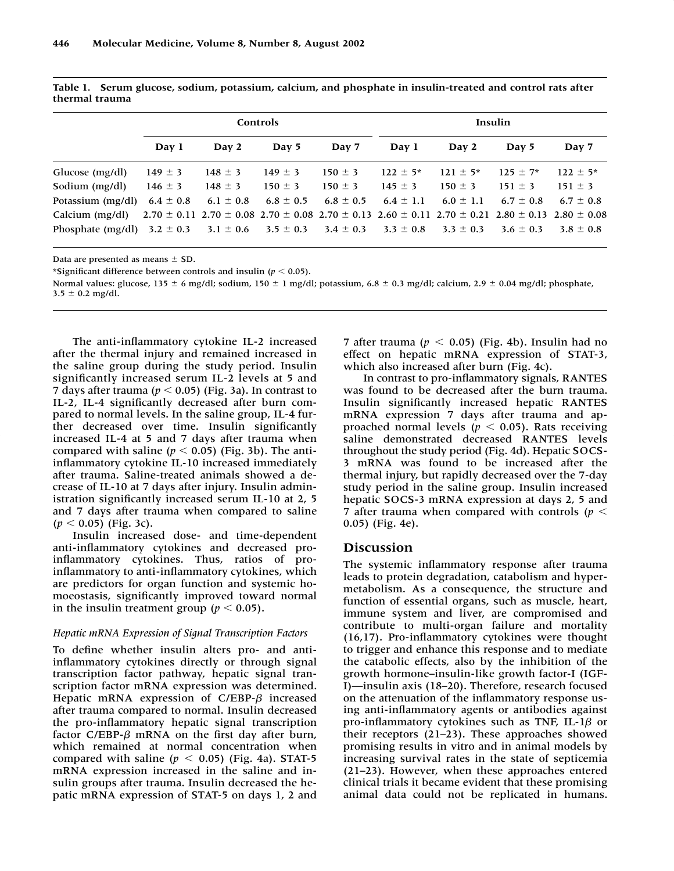|                                                                                         | Controls      |             |               |               | Insulin       |                                                                                                                                 |               |               |
|-----------------------------------------------------------------------------------------|---------------|-------------|---------------|---------------|---------------|---------------------------------------------------------------------------------------------------------------------------------|---------------|---------------|
|                                                                                         | Day 1         | Day 2       | Day 5         | Day 7         | Day 1         | Day 2                                                                                                                           | Day 5         | Day 7         |
| Glucose (mg/dl)                                                                         | $149 \pm 3$   | $148 \pm 3$ | $149 \pm 3$   | $150 \pm 3$   | $122 \pm 5^*$ | $121 \pm 5^*$                                                                                                                   | $125 \pm 7$ * | $122 \pm 5^*$ |
| Sodium (mg/dl)                                                                          | $146 \pm 3$   | $148 \pm 3$ | $150 \pm 3$   | $150 \pm 3$   | $145 \pm 3$   | $150 \pm 3$                                                                                                                     | $151 \pm 3$   | $151 \pm 3$   |
| Potassium (mg/dl)                                                                       | $6.4 \pm 0.8$ | $6.1\pm0.8$ | 6.8 $\pm$ 0.5 | $6.8 \pm 0.5$ | $6.4 \pm 1.1$ | $6.0 \pm 1.1$                                                                                                                   | $6.7 \pm 0.8$ | $6.7 \pm 0.8$ |
| Calcium (mg/dl)                                                                         |               |             |               |               |               | $2.70 \pm 0.11$ $2.70 \pm 0.08$ $2.70 \pm 0.08$ $2.70 \pm 0.13$ $2.60 \pm 0.11$ $2.70 \pm 0.21$ $2.80 \pm 0.13$ $2.80 \pm 0.08$ |               |               |
| Phosphate (mg/dl) $3.2 \pm 0.3$ $3.1 \pm 0.6$ $3.5 \pm 0.3$ $3.4 \pm 0.3$ $3.3 \pm 0.8$ |               |             |               |               |               | $3.3 \pm 0.3$                                                                                                                   | $3.6 \pm 0.3$ | $3.8 \pm 0.8$ |

**Table 1. Serum glucose, sodium, potassium, calcium, and phosphate in insulin-treated and control rats after thermal trauma**

Data are presented as means  $\pm$  SD.

\*Significant difference between controls and insulin  $(p < 0.05)$ .

Normal values: glucose, 135  $\pm$  6 mg/dl; sodium, 150  $\pm$  1 mg/dl; potassium, 6.8  $\pm$  0.3 mg/dl; calcium, 2.9  $\pm$  0.04 mg/dl; phosphate,  $3.5 \pm 0.2$  mg/dl.

The anti-inflammatory cytokine IL-2 increased after the thermal injury and remained increased in the saline group during the study period. Insulin significantly increased serum IL-2 levels at 5 and 7 days after trauma ( $p < 0.05$ ) (Fig. 3a). In contrast to IL-2, IL-4 significantly decreased after burn compared to normal levels. In the saline group, IL-4 further decreased over time. Insulin significantly increased IL-4 at 5 and 7 days after trauma when compared with saline  $(p < 0.05)$  (Fig. 3b). The antiinflammatory cytokine IL-10 increased immediately after trauma. Saline-treated animals showed a decrease of IL-10 at 7 days after injury. Insulin administration significantly increased serum IL-10 at 2, 5 and 7 days after trauma when compared to saline  $(p < 0.05)$  (Fig. 3c).

Insulin increased dose- and time-dependent anti-inflammatory cytokines and decreased proinflammatory cytokines. Thus, ratios of proinflammatory to anti-inflammatory cytokines, which are predictors for organ function and systemic homoeostasis, significantly improved toward normal in the insulin treatment group ( $p < 0.05$ ).

#### *Hepatic mRNA Expression of Signal Transcription Factors*

To define whether insulin alters pro- and antiinflammatory cytokines directly or through signal transcription factor pathway, hepatic signal transcription factor mRNA expression was determined. Hepatic mRNA expression of  $C/EBP-\beta$  increased after trauma compared to normal. Insulin decreased the pro-inflammatory hepatic signal transcription factor  $C/EBP-B$  mRNA on the first day after burn. which remained at normal concentration when compared with saline ( $p < 0.05$ ) (Fig. 4a). STAT-5 mRNA expression increased in the saline and insulin groups after trauma. Insulin decreased the hepatic mRNA expression of STAT-5 on days 1, 2 and 7 after trauma ( $p < 0.05$ ) (Fig. 4b). Insulin had no effect on hepatic mRNA expression of STAT-3, which also increased after burn (Fig. 4c).

In contrast to pro-inflammatory signals, RANTES was found to be decreased after the burn trauma. Insulin significantly increased hepatic RANTES mRNA expression 7 days after trauma and approached normal levels ( $p < 0.05$ ). Rats receiving saline demonstrated decreased RANTES levels throughout the study period (Fig. 4d). Hepatic SOCS-3 mRNA was found to be increased after the thermal injury, but rapidly decreased over the 7-day study period in the saline group. Insulin increased hepatic SOCS-3 mRNA expression at days 2, 5 and 7 after trauma when compared with controls ( $p <$ 0.05) (Fig. 4e).

#### **Discussion**

The systemic inflammatory response after trauma leads to protein degradation, catabolism and hypermetabolism. As a consequence, the structure and function of essential organs, such as muscle, heart, immune system and liver, are compromised and contribute to multi-organ failure and mortality (16,17). Pro-inflammatory cytokines were thought to trigger and enhance this response and to mediate the catabolic effects, also by the inhibition of the growth hormone–insulin-like growth factor-I (IGF-I)—insulin axis (18–20). Therefore, research focused on the attenuation of the inflammatory response using anti-inflammatory agents or antibodies against pro-inflammatory cytokines such as TNF, IL-1 $\beta$  or their receptors (21–23). These approaches showed promising results in vitro and in animal models by increasing survival rates in the state of septicemia (21–23). However, when these approaches entered clinical trials it became evident that these promising animal data could not be replicated in humans.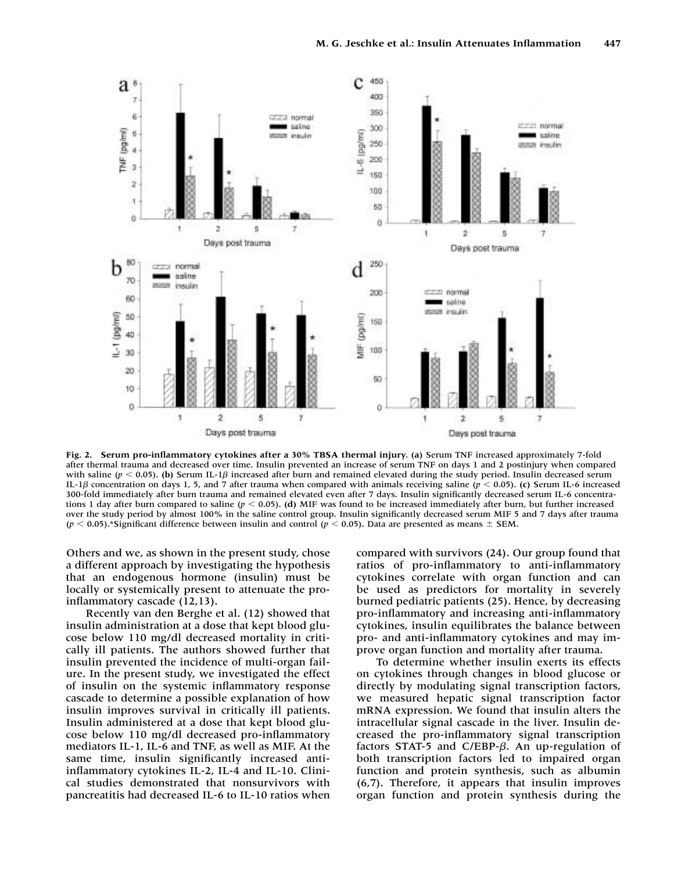

**Fig. 2. Serum pro-inflammatory cytokines after a 30% TBSA thermal injury. (a)** Serum TNF increased approximately 7-fold after thermal trauma and decreased over time. Insulin prevented an increase of serum TNF on days 1 and 2 postinjury when compared with saline ( $p < 0.05$ ). (b) Serum IL-1 $\beta$  increased after burn and remained elevated during the study period. Insulin decreased serum IL-1 $\beta$  concentration on days 1, 5, and 7 after trauma when compared with animals receiving saline ( $p < 0.05$ ). (c) Serum IL-6 increased 300-fold immediately after burn trauma and remained elevated even after 7 days. Insulin significantly decreased serum IL-6 concentrations 1 day after burn compared to saline ( $p < 0.05$ ). (d) MIF was found to be increased immediately after burn, but further increased over the study period by almost 100% in the saline control group. Insulin significantly decreased serum MIF 5 and 7 days after trauma  $(p < 0.05)$ .\*Significant difference between insulin and control  $(p < 0.05)$ . Data are presented as means  $\pm$  SEM.

Others and we, as shown in the present study, chose a different approach by investigating the hypothesis that an endogenous hormone (insulin) must be locally or systemically present to attenuate the proinflammatory cascade (12,13).

Recently van den Berghe et al. (12) showed that insulin administration at a dose that kept blood glucose below 110 mg/dl decreased mortality in critically ill patients. The authors showed further that insulin prevented the incidence of multi-organ failure. In the present study, we investigated the effect of insulin on the systemic inflammatory response cascade to determine a possible explanation of how insulin improves survival in critically ill patients. Insulin administered at a dose that kept blood glucose below 110 mg/dl decreased pro-inflammatory mediators IL-1, IL-6 and TNF, as well as MIF. At the same time, insulin significantly increased antiinflammatory cytokines IL-2, IL-4 and IL-10. Clinical studies demonstrated that nonsurvivors with pancreatitis had decreased IL-6 to IL-10 ratios when

compared with survivors (24). Our group found that ratios of pro-inflammatory to anti-inflammatory cytokines correlate with organ function and can be used as predictors for mortality in severely burned pediatric patients (25). Hence, by decreasing pro-inflammatory and increasing anti-inflammatory cytokines, insulin equilibrates the balance between pro- and anti-inflammatory cytokines and may improve organ function and mortality after trauma.

To determine whether insulin exerts its effects on cytokines through changes in blood glucose or directly by modulating signal transcription factors, we measured hepatic signal transcription factor mRNA expression. We found that insulin alters the intracellular signal cascade in the liver. Insulin decreased the pro-inflammatory signal transcription factors STAT-5 and C/EBP- $\beta$ . An up-regulation of both transcription factors led to impaired organ function and protein synthesis, such as albumin (6,7). Therefore, it appears that insulin improves organ function and protein synthesis during the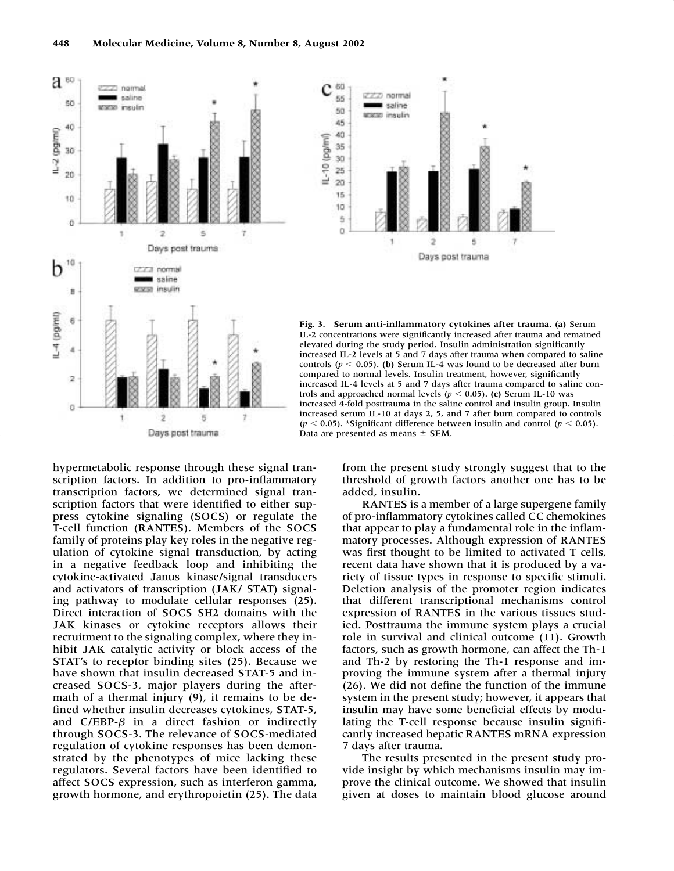



**Fig. 3. Serum anti-inflammatory cytokines after trauma. (a)** Serum IL-2 concentrations were significantly increased after trauma and remained elevated during the study period. Insulin administration significantly increased IL-2 levels at 5 and 7 days after trauma when compared to saline controls ( $p < 0.05$ ). (b) Serum IL-4 was found to be decreased after burn compared to normal levels. Insulin treatment, however, significantly increased IL-4 levels at 5 and 7 days after trauma compared to saline controls and approached normal levels ( $p < 0.05$ ). (c) Serum IL-10 was increased 4-fold posttrauma in the saline control and insulin group. Insulin increased serum IL-10 at days 2, 5, and 7 after burn compared to controls  $(p < 0.05)$ . \*Significant difference between insulin and control  $(p < 0.05)$ . Data are presented as means  $\pm$  SEM.

hypermetabolic response through these signal transcription factors. In addition to pro-inflammatory transcription factors, we determined signal transcription factors that were identified to either suppress cytokine signaling (SOCS) or regulate the T-cell function (RANTES). Members of the SOCS family of proteins play key roles in the negative regulation of cytokine signal transduction, by acting in a negative feedback loop and inhibiting the cytokine-activated Janus kinase/signal transducers and activators of transcription (JAK/ STAT) signaling pathway to modulate cellular responses (25). Direct interaction of SOCS SH2 domains with the JAK kinases or cytokine receptors allows their recruitment to the signaling complex, where they inhibit JAK catalytic activity or block access of the STAT's to receptor binding sites (25). Because we have shown that insulin decreased STAT-5 and increased SOCS-3, major players during the aftermath of a thermal injury (9), it remains to be defined whether insulin decreases cytokines, STAT-5, and  $C/EBP-\beta$  in a direct fashion or indirectly through SOCS-3. The relevance of SOCS-mediated regulation of cytokine responses has been demonstrated by the phenotypes of mice lacking these regulators. Several factors have been identified to affect SOCS expression, such as interferon gamma, growth hormone, and erythropoietin (25). The data

from the present study strongly suggest that to the threshold of growth factors another one has to be added, insulin.

RANTES is a member of a large supergene family of pro-inflammatory cytokines called CC chemokines that appear to play a fundamental role in the inflammatory processes. Although expression of RANTES was first thought to be limited to activated T cells, recent data have shown that it is produced by a variety of tissue types in response to specific stimuli. Deletion analysis of the promoter region indicates that different transcriptional mechanisms control expression of RANTES in the various tissues studied. Posttrauma the immune system plays a crucial role in survival and clinical outcome (11). Growth factors, such as growth hormone, can affect the Th-1 and Th-2 by restoring the Th-1 response and improving the immune system after a thermal injury (26). We did not define the function of the immune system in the present study; however, it appears that insulin may have some beneficial effects by modulating the T-cell response because insulin significantly increased hepatic RANTES mRNA expression 7 days after trauma.

The results presented in the present study provide insight by which mechanisms insulin may improve the clinical outcome. We showed that insulin given at doses to maintain blood glucose around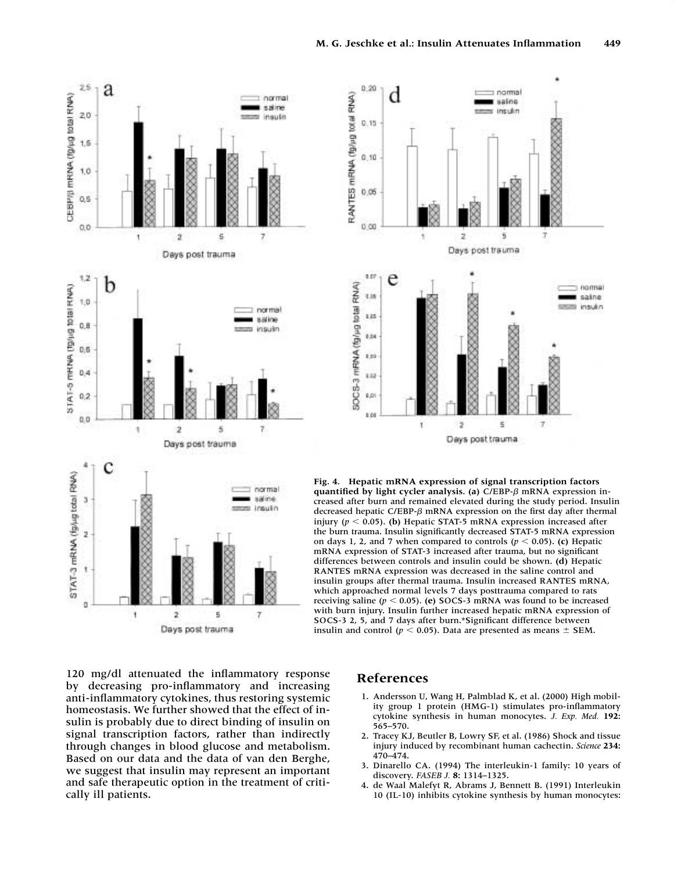



**Fig. 4. Hepatic mRNA expression of signal transcription factors** quantified by light cycler analysis. (a) C/EBP- $\beta$  mRNA expression increased after burn and remained elevated during the study period. Insulin decreased hepatic C/EBP- $\beta$  mRNA expression on the first day after thermal injury ( $p < 0.05$ ). (b) Hepatic STAT-5 mRNA expression increased after the burn trauma. Insulin significantly decreased STAT-5 mRNA expression on days 1, 2, and 7 when compared to controls  $(p < 0.05)$ . (c) Hepatic mRNA expression of STAT-3 increased after trauma, but no significant differences between controls and insulin could be shown. **(d)** Hepatic RANTES mRNA expression was decreased in the saline control and insulin groups after thermal trauma. Insulin increased RANTES mRNA, which approached normal levels 7 days posttrauma compared to rats receiving saline  $(p < 0.05)$ . (e) SOCS-3 mRNA was found to be increased with burn injury. Insulin further increased hepatic mRNA expression of SOCS-3 2, 5, and 7 days after burn.\*Significant difference between insulin and control ( $p < 0.05$ ). Data are presented as means  $\pm$  SEM.

120 mg/dl attenuated the inflammatory response by decreasing pro-inflammatory and increasing anti-inflammatory cytokines, thus restoring systemic homeostasis. We further showed that the effect of insulin is probably due to direct binding of insulin on signal transcription factors, rather than indirectly through changes in blood glucose and metabolism. Based on our data and the data of van den Berghe, we suggest that insulin may represent an important and safe therapeutic option in the treatment of critically ill patients.

# **References**

- 1. Andersson U, Wang H, Palmblad K, et al. (2000) High mobility group 1 protein (HMG-1) stimulates pro-inflammatory cytokine synthesis in human monocytes. *J. Exp. Med.* **192:** 565–570.
- 2. Tracey KJ, Beutler B, Lowry SF, et al. (1986) Shock and tissue injury induced by recombinant human cachectin. *Science* **234:** 470–474.
- 3. Dinarello CA. (1994) The interleukin-1 family: 10 years of discovery. *FASEB J.* **8:** 1314–1325.
- 4. de Waal Malefyt R, Abrams J, Bennett B. (1991) Interleukin 10 (IL-10) inhibits cytokine synthesis by human monocytes: